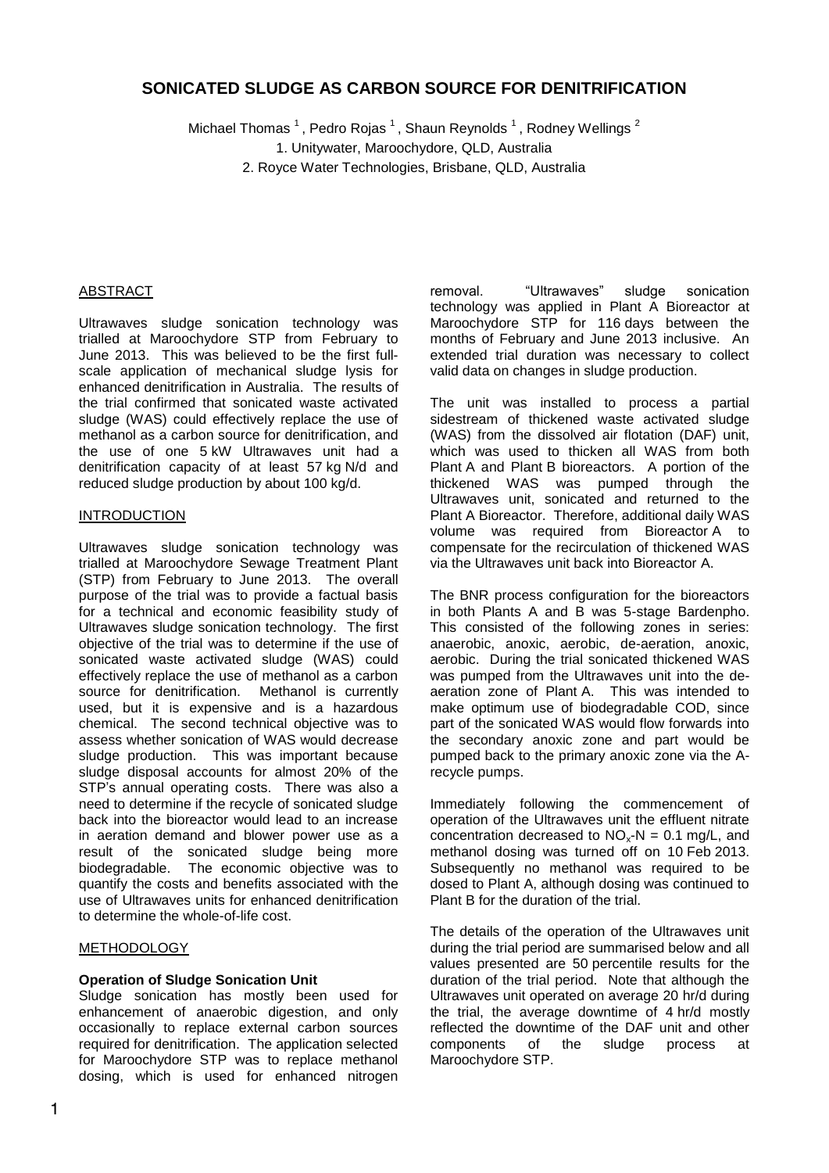# **SONICATED SLUDGE AS CARBON SOURCE FOR DENITRIFICATION**

Michael Thomas  $^1$ , Pedro Rojas  $^1$ , Shaun Reynolds  $^1$ , Rodney Wellings  $^2$ 1. Unitywater, Maroochydore, QLD, Australia 2. Royce Water Technologies, Brisbane, QLD, Australia

#### ABSTRACT

Ultrawaves sludge sonication technology was trialled at Maroochydore STP from February to June 2013. This was believed to be the first fullscale application of mechanical sludge lysis for enhanced denitrification in Australia. The results of the trial confirmed that sonicated waste activated sludge (WAS) could effectively replace the use of methanol as a carbon source for denitrification, and the use of one 5 kW Ultrawaves unit had a denitrification capacity of at least 57 kg N/d and reduced sludge production by about 100 kg/d.

#### INTRODUCTION

Ultrawaves sludge sonication technology was trialled at Maroochydore Sewage Treatment Plant (STP) from February to June 2013. The overall purpose of the trial was to provide a factual basis for a technical and economic feasibility study of Ultrawaves sludge sonication technology. The first objective of the trial was to determine if the use of sonicated waste activated sludge (WAS) could effectively replace the use of methanol as a carbon source for denitrification. Methanol is currently used, but it is expensive and is a hazardous chemical. The second technical objective was to assess whether sonication of WAS would decrease sludge production. This was important because sludge disposal accounts for almost 20% of the STP's annual operating costs. There was also a need to determine if the recycle of sonicated sludge back into the bioreactor would lead to an increase in aeration demand and blower power use as a result of the sonicated sludge being more biodegradable. The economic objective was to quantify the costs and benefits associated with the use of Ultrawaves units for enhanced denitrification to determine the whole-of-life cost.

#### METHODOLOGY

#### **Operation of Sludge Sonication Unit**

Sludge sonication has mostly been used for enhancement of anaerobic digestion, and only occasionally to replace external carbon sources required for denitrification. The application selected for Maroochydore STP was to replace methanol dosing, which is used for enhanced nitrogen

removal. "Ultrawaves" sludge sonication technology was applied in Plant A Bioreactor at Maroochydore STP for 116 days between the months of February and June 2013 inclusive. An extended trial duration was necessary to collect valid data on changes in sludge production.

The unit was installed to process a partial sidestream of thickened waste activated sludge (WAS) from the dissolved air flotation (DAF) unit, which was used to thicken all WAS from both Plant A and Plant B bioreactors. A portion of the thickened WAS was pumped through the Ultrawaves unit, sonicated and returned to the Plant A Bioreactor. Therefore, additional daily WAS volume was required from Bioreactor A to compensate for the recirculation of thickened WAS via the Ultrawaves unit back into Bioreactor A.

The BNR process configuration for the bioreactors in both Plants A and B was 5-stage Bardenpho. This consisted of the following zones in series: anaerobic, anoxic, aerobic, de-aeration, anoxic, aerobic. During the trial sonicated thickened WAS was pumped from the Ultrawaves unit into the deaeration zone of Plant A. This was intended to make optimum use of biodegradable COD, since part of the sonicated WAS would flow forwards into the secondary anoxic zone and part would be pumped back to the primary anoxic zone via the Arecycle pumps.

Immediately following the commencement of operation of the Ultrawaves unit the effluent nitrate concentration decreased to  $NO<sub>x</sub>-N = 0.1$  mg/L, and methanol dosing was turned off on 10 Feb 2013. Subsequently no methanol was required to be dosed to Plant A, although dosing was continued to Plant B for the duration of the trial.

The details of the operation of the Ultrawaves unit during the trial period are summarised below and all values presented are 50 percentile results for the duration of the trial period. Note that although the Ultrawaves unit operated on average 20 hr/d during the trial, the average downtime of 4 hr/d mostly reflected the downtime of the DAF unit and other components of the sludge process at Maroochydore STP.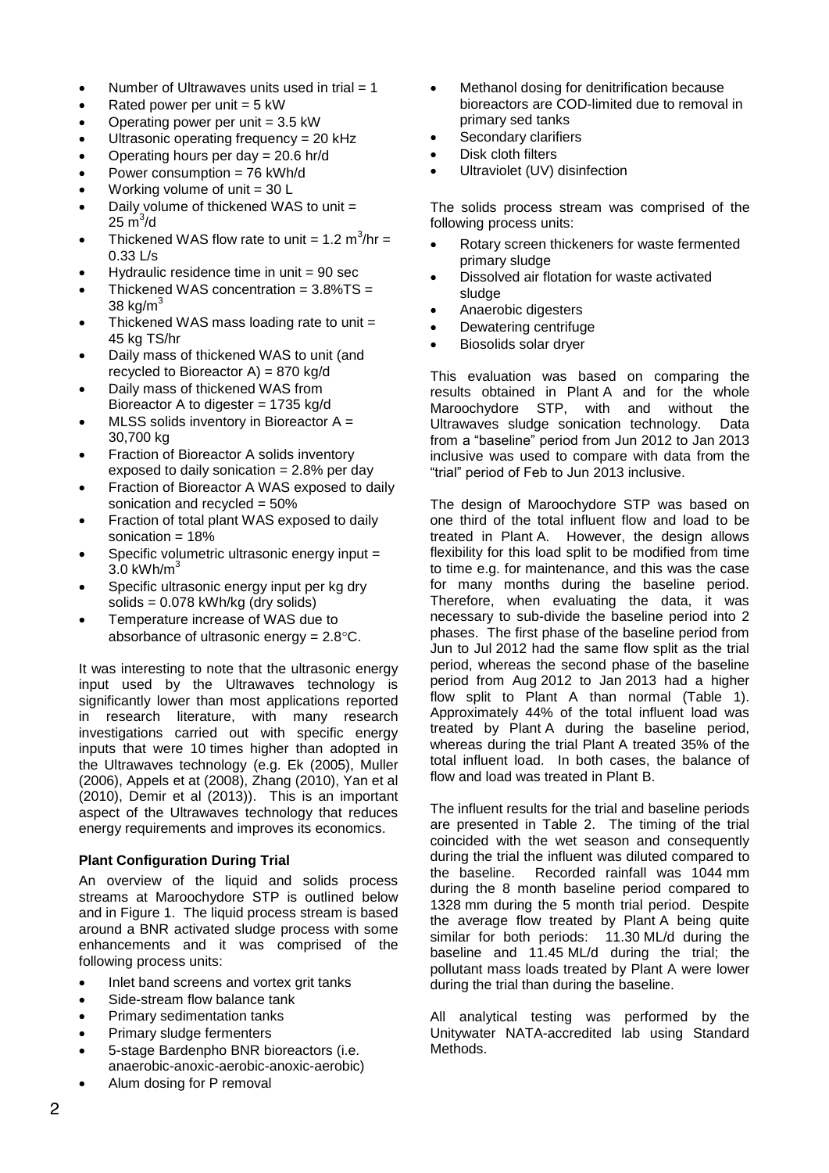- Number of Ultrawaves units used in trial  $= 1$
- Rated power per unit  $= 5$  kW
- Operating power per unit  $= 3.5$  kW
- Ultrasonic operating frequency = 20 kHz
- Operating hours per day = 20.6 hr/d
- Power consumption = 76 kWh/d
- Working volume of unit = 30 L
- Daily volume of thickened WAS to unit =  $25 \text{ m}^3/\text{d}$
- Thickened WAS flow rate to unit =  $1.2 \text{ m}^3/\text{hr} =$ 0.33 L/s
- Hydraulic residence time in unit  $= 90$  sec
- Thickened WAS concentration  $= 3.8\%$ TS  $=$ 38 kg/ $m<sup>3</sup>$
- Thickened WAS mass loading rate to unit = 45 kg TS/hr
- Daily mass of thickened WAS to unit (and recycled to Bioreactor  $A$ ) = 870 kg/d
- Daily mass of thickened WAS from Bioreactor A to digester = 1735 kg/d
- MLSS solids inventory in Bioreactor A = 30,700 kg
- Fraction of Bioreactor A solids inventory exposed to daily sonication = 2.8% per day
- Fraction of Bioreactor A WAS exposed to daily sonication and recycled = 50%
- Fraction of total plant WAS exposed to daily sonication = 18%
- Specific volumetric ultrasonic energy input =  $3.0$  kWh/m<sup>3</sup>
- Specific ultrasonic energy input per kg dry solids = 0.078 kWh/kg (dry solids)
- Temperature increase of WAS due to absorbance of ultrasonic energy =  $2.8^{\circ}$ C.

It was interesting to note that the ultrasonic energy input used by the Ultrawaves technology is significantly lower than most applications reported in research literature, with many research investigations carried out with specific energy inputs that were 10 times higher than adopted in the Ultrawaves technology (e.g. Ek (2005), Muller (2006), Appels et at (2008), Zhang (2010), Yan et al (2010), Demir et al (2013)). This is an important aspect of the Ultrawaves technology that reduces energy requirements and improves its economics.

#### **Plant Configuration During Trial**

An overview of the liquid and solids process streams at Maroochydore STP is outlined below and in [Figure 1.](#page-5-0) The liquid process stream is based around a BNR activated sludge process with some enhancements and it was comprised of the following process units:

- Inlet band screens and vortex grit tanks
- Side-stream flow balance tank
- Primary sedimentation tanks
- Primary sludge fermenters
- 5-stage Bardenpho BNR bioreactors (i.e. anaerobic-anoxic-aerobic-anoxic-aerobic)
- Alum dosing for P removal
- Methanol dosing for denitrification because bioreactors are COD-limited due to removal in primary sed tanks
- Secondary clarifiers
- Disk cloth filters
- Ultraviolet (UV) disinfection

The solids process stream was comprised of the following process units:

- Rotary screen thickeners for waste fermented primary sludge
- Dissolved air flotation for waste activated sludge
- Anaerobic digesters
- Dewatering centrifuge
- Biosolids solar dryer

This evaluation was based on comparing the results obtained in Plant A and for the whole Maroochydore STP, with and without the Ultrawaves sludge sonication technology. Data from a "baseline" period from Jun 2012 to Jan 2013 inclusive was used to compare with data from the "trial" period of Feb to Jun 2013 inclusive.

The design of Maroochydore STP was based on one third of the total influent flow and load to be treated in Plant A. However, the design allows flexibility for this load split to be modified from time to time e.g. for maintenance, and this was the case for many months during the baseline period. Therefore, when evaluating the data, it was necessary to sub-divide the baseline period into 2 phases. The first phase of the baseline period from Jun to Jul 2012 had the same flow split as the trial period, whereas the second phase of the baseline period from Aug 2012 to Jan 2013 had a higher flow split to Plant A than normal [\(Table 1\)](#page-5-1). Approximately 44% of the total influent load was treated by Plant A during the baseline period, whereas during the trial Plant A treated 35% of the total influent load. In both cases, the balance of flow and load was treated in Plant B.

The influent results for the trial and baseline periods are presented in [Table 2.](#page-5-2) The timing of the trial coincided with the wet season and consequently during the trial the influent was diluted compared to the baseline. Recorded rainfall was 1044 mm during the 8 month baseline period compared to 1328 mm during the 5 month trial period. Despite the average flow treated by Plant A being quite similar for both periods: 11.30 ML/d during the baseline and 11.45 ML/d during the trial; the pollutant mass loads treated by Plant A were lower during the trial than during the baseline.

All analytical testing was performed by the Unitywater NATA-accredited lab using Standard Methods.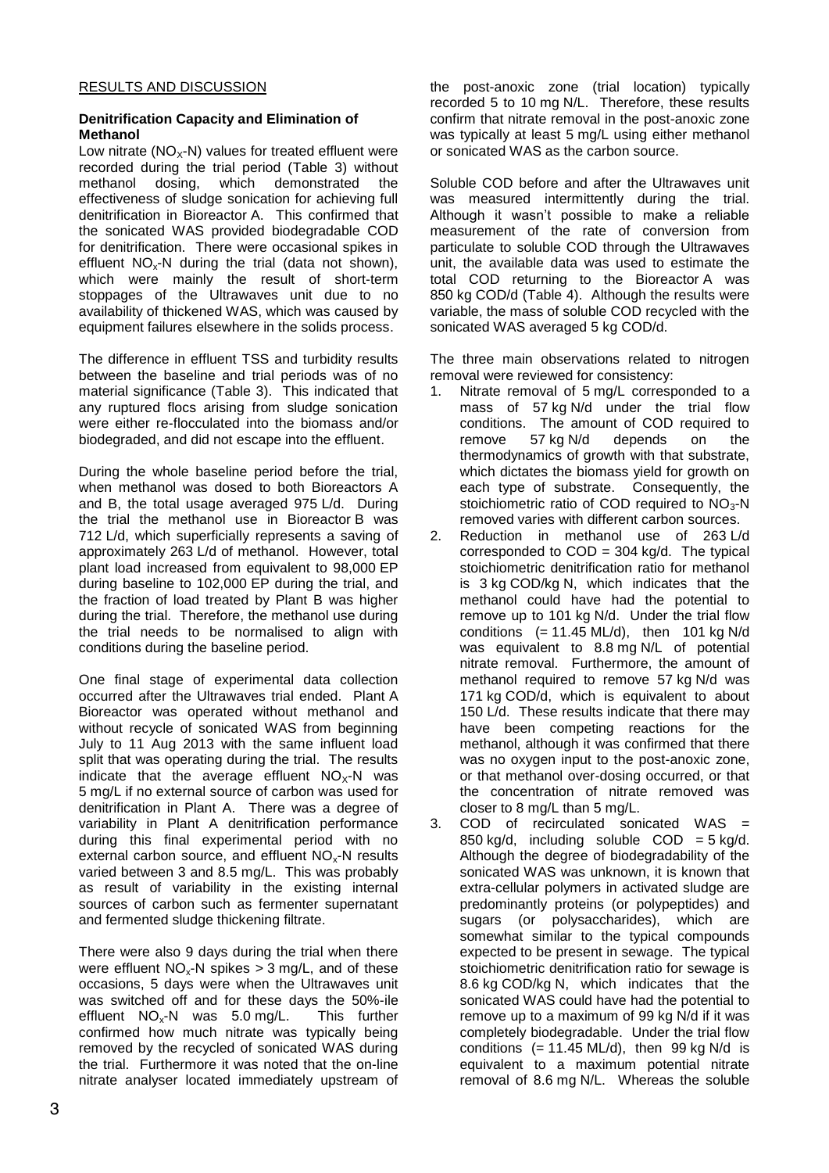### **Denitrification Capacity and Elimination of Methanol**

Low nitrate ( $NO<sub>x</sub>$ -N) values for treated effluent were recorded during the trial period [\(Table 3\)](#page-5-3) without methanol dosing, which demonstrated the effectiveness of sludge sonication for achieving full denitrification in Bioreactor A. This confirmed that the sonicated WAS provided biodegradable COD for denitrification. There were occasional spikes in effluent  $NO<sub>x</sub>$ -N during the trial (data not shown), which were mainly the result of short-term stoppages of the Ultrawaves unit due to no availability of thickened WAS, which was caused by equipment failures elsewhere in the solids process.

The difference in effluent TSS and turbidity results between the baseline and trial periods was of no material significance [\(Table 3\)](#page-5-3). This indicated that any ruptured flocs arising from sludge sonication were either re-flocculated into the biomass and/or biodegraded, and did not escape into the effluent.

During the whole baseline period before the trial, when methanol was dosed to both Bioreactors A and B, the total usage averaged 975 L/d. During the trial the methanol use in Bioreactor B was 712 L/d, which superficially represents a saving of approximately 263 L/d of methanol. However, total plant load increased from equivalent to 98,000 EP during baseline to 102,000 EP during the trial, and the fraction of load treated by Plant B was higher during the trial. Therefore, the methanol use during the trial needs to be normalised to align with conditions during the baseline period.

One final stage of experimental data collection occurred after the Ultrawaves trial ended. Plant A Bioreactor was operated without methanol and without recycle of sonicated WAS from beginning July to 11 Aug 2013 with the same influent load split that was operating during the trial. The results indicate that the average effluent  $NO<sub>x</sub>$ -N was 5 mg/L if no external source of carbon was used for denitrification in Plant A. There was a degree of variability in Plant A denitrification performance during this final experimental period with no external carbon source, and effluent  $NO<sub>x</sub>$ -N results varied between 3 and 8.5 mg/L. This was probably as result of variability in the existing internal sources of carbon such as fermenter supernatant and fermented sludge thickening filtrate.

There were also 9 days during the trial when there were effluent  $NO<sub>x</sub>$ -N spikes > 3 mg/L, and of these occasions, 5 days were when the Ultrawaves unit was switched off and for these days the 50%-ile effluent  $NO<sub>x</sub>$ -N was 5.0 mg/L. This further confirmed how much nitrate was typically being removed by the recycled of sonicated WAS during the trial. Furthermore it was noted that the on-line nitrate analyser located immediately upstream of the post-anoxic zone (trial location) typically recorded 5 to 10 mg N/L. Therefore, these results confirm that nitrate removal in the post-anoxic zone was typically at least 5 mg/L using either methanol or sonicated WAS as the carbon source.

Soluble COD before and after the Ultrawaves unit was measured intermittently during the trial. Although it wasn't possible to make a reliable measurement of the rate of conversion from particulate to soluble COD through the Ultrawaves unit, the available data was used to estimate the total COD returning to the Bioreactor A was 850 kg COD/d [\(Table 4\)](#page-6-0). Although the results were variable, the mass of soluble COD recycled with the sonicated WAS averaged 5 kg COD/d.

The three main observations related to nitrogen removal were reviewed for consistency:

- 1. Nitrate removal of 5 mg/L corresponded to a mass of 57 kg N/d under the trial flow conditions. The amount of COD required to<br>remove 57 kg N/d depends on the 57 kg N/d depends on the thermodynamics of growth with that substrate, which dictates the biomass yield for growth on each type of substrate. Consequently, the stoichiometric ratio of COD required to  $NO<sub>3</sub>$ -N removed varies with different carbon sources.
- 2. Reduction in methanol use of 263 L/d corresponded to  $COD = 304$  kg/d. The typical stoichiometric denitrification ratio for methanol is 3 kg COD/kg N, which indicates that the methanol could have had the potential to remove up to 101 kg N/d. Under the trial flow conditions  $(= 11.45 \text{ ML/d})$ , then 101 kg N/d was equivalent to 8.8 mg N/L of potential nitrate removal. Furthermore, the amount of methanol required to remove 57 kg N/d was 171 kg COD/d, which is equivalent to about 150 L/d. These results indicate that there may have been competing reactions for the methanol, although it was confirmed that there was no oxygen input to the post-anoxic zone, or that methanol over-dosing occurred, or that the concentration of nitrate removed was closer to 8 mg/L than 5 mg/L.
- 3. COD of recirculated sonicated WAS = 850 kg/d, including soluble  $COD = 5$  kg/d. Although the degree of biodegradability of the sonicated WAS was unknown, it is known that extra-cellular polymers in activated sludge are predominantly proteins (or polypeptides) and sugars (or polysaccharides), which are somewhat similar to the typical compounds expected to be present in sewage. The typical stoichiometric denitrification ratio for sewage is 8.6 kg COD/kg N, which indicates that the sonicated WAS could have had the potential to remove up to a maximum of 99 kg N/d if it was completely biodegradable. Under the trial flow conditions  $(= 11.45 \text{ ML/d})$ , then 99 kg N/d is equivalent to a maximum potential nitrate removal of 8.6 mg N/L. Whereas the soluble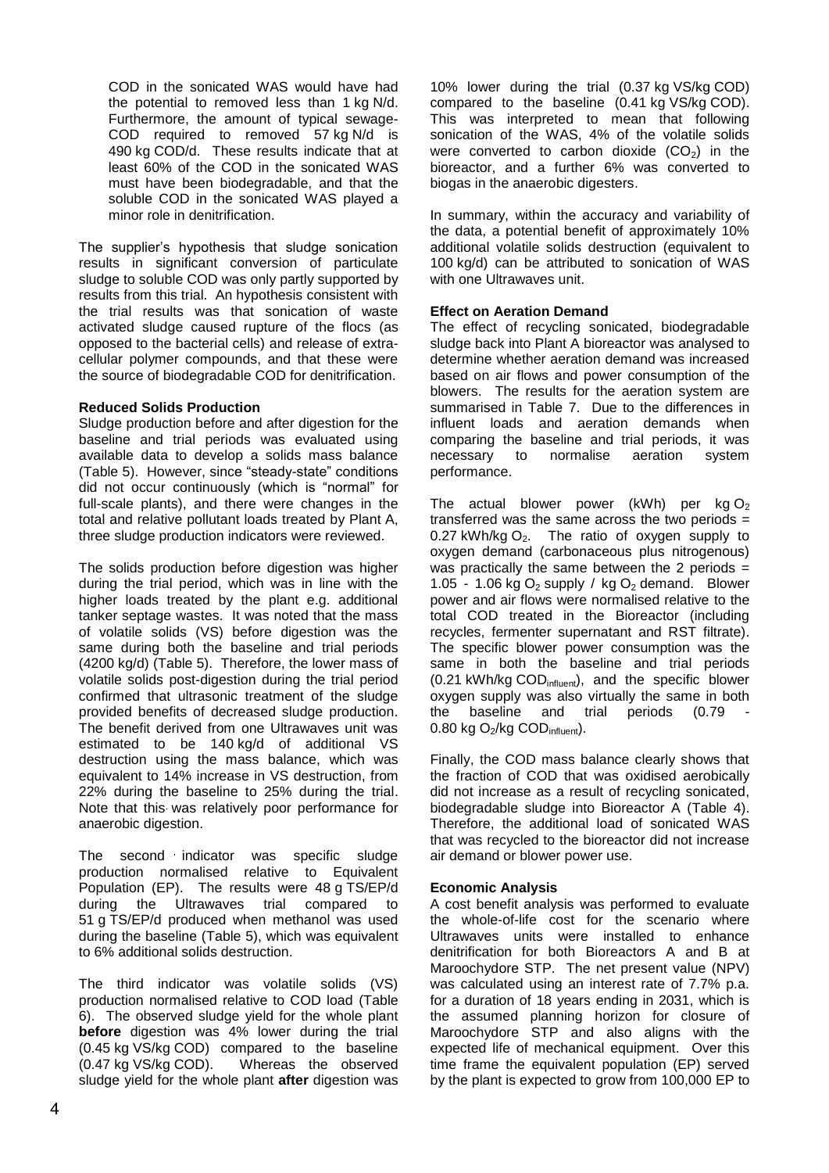COD in the sonicated WAS would have had the potential to removed less than 1 kg N/d. Furthermore, the amount of typical sewage-COD required to removed 57 kg N/d is 490 kg COD/d. These results indicate that at least 60% of the COD in the sonicated WAS must have been biodegradable, and that the soluble COD in the sonicated WAS played a minor role in denitrification.

The supplier's hypothesis that sludge sonication results in significant conversion of particulate sludge to soluble COD was only partly supported by results from this trial. An hypothesis consistent with the trial results was that sonication of waste activated sludge caused rupture of the flocs (as opposed to the bacterial cells) and release of extracellular polymer compounds, and that these were the source of biodegradable COD for denitrification.

#### **Reduced Solids Production**

Sludge production before and after digestion for the baseline and trial periods was evaluated using available data to develop a solids mass balance [\(Table 5\)](#page-6-1). However, since "steady-state" conditions did not occur continuously (which is "normal" for full-scale plants), and there were changes in the total and relative pollutant loads treated by Plant A, three sludge production indicators were reviewed.

The solids production before digestion was higher during the trial period, which was in line with the higher loads treated by the plant e.g. additional tanker septage wastes. It was noted that the mass of volatile solids (VS) before digestion was the same during both the baseline and trial periods (4200 kg/d) [\(Table 5\)](#page-6-1). Therefore, the lower mass of volatile solids post-digestion during the trial period confirmed that ultrasonic treatment of the sludge provided benefits of decreased sludge production. The benefit derived from one Ultrawaves unit was estimated to be 140 kg/d of additional VS destruction using the mass balance, which was equivalent to 14% increase in VS destruction, from 22% during the baseline to 25% during the trial. Note that this was relatively poor performance for anaerobic digestion.

The second indicator was specific sludge production normalised relative to Equivalent Population (EP). The results were 48 g TS/EP/d during the Ultrawaves trial compared to 51 g TS/EP/d produced when methanol was used during the baseline [\(Table 5\)](#page-6-1), which was equivalent to 6% additional solids destruction.

The third indicator was volatile solids (VS) production normalised relative to COD load [\(Table](#page-7-0)  [6\)](#page-7-0). The observed sludge yield for the whole plant **before** digestion was 4% lower during the trial (0.45 kg VS/kg COD) compared to the baseline (0.47 kg VS/kg COD). Whereas the observed sludge yield for the whole plant **after** digestion was

10% lower during the trial (0.37 kg VS/kg COD) compared to the baseline (0.41 kg VS/kg COD). This was interpreted to mean that following sonication of the WAS, 4% of the volatile solids were converted to carbon dioxide  $(CO<sub>2</sub>)$  in the bioreactor, and a further 6% was converted to biogas in the anaerobic digesters.

In summary, within the accuracy and variability of the data, a potential benefit of approximately 10% additional volatile solids destruction (equivalent to 100 kg/d) can be attributed to sonication of WAS with one Ultrawaves unit.

#### **Effect on Aeration Demand**

The effect of recycling sonicated, biodegradable sludge back into Plant A bioreactor was analysed to determine whether aeration demand was increased based on air flows and power consumption of the blowers. The results for the aeration system are summarised in [Table 7.](#page-7-1) Due to the differences in influent loads and aeration demands when comparing the baseline and trial periods, it was necessary to normalise aeration system performance.

The actual blower power (kWh) per kg  $O<sub>2</sub>$ transferred was the same across the two periods  $=$ 0.27 kWh/kg  $O<sub>2</sub>$ . The ratio of oxygen supply to oxygen demand (carbonaceous plus nitrogenous) was practically the same between the 2 periods  $=$ 1.05 - 1.06 kg  $O_2$  supply / kg  $O_2$  demand. Blower power and air flows were normalised relative to the total COD treated in the Bioreactor (including recycles, fermenter supernatant and RST filtrate). The specific blower power consumption was the same in both the baseline and trial periods (0.21 kWh/kg COD<sub>influent</sub>), and the specific blower oxygen supply was also virtually the same in both the baseline and trial periods (0.79 0.80 kg O<sub>2</sub>/kg COD<sub>influent</sub>).

Finally, the COD mass balance clearly shows that the fraction of COD that was oxidised aerobically did not increase as a result of recycling sonicated, biodegradable sludge into Bioreactor A [\(Table 4\)](#page-6-0). Therefore, the additional load of sonicated WAS that was recycled to the bioreactor did not increase air demand or blower power use.

#### **Economic Analysis**

A cost benefit analysis was performed to evaluate the whole-of-life cost for the scenario where Ultrawaves units were installed to enhance denitrification for both Bioreactors A and B at Maroochydore STP. The net present value (NPV) was calculated using an interest rate of 7.7% p.a. for a duration of 18 years ending in 2031, which is the assumed planning horizon for closure of Maroochydore STP and also aligns with the expected life of mechanical equipment. Over this time frame the equivalent population (EP) served by the plant is expected to grow from 100,000 EP to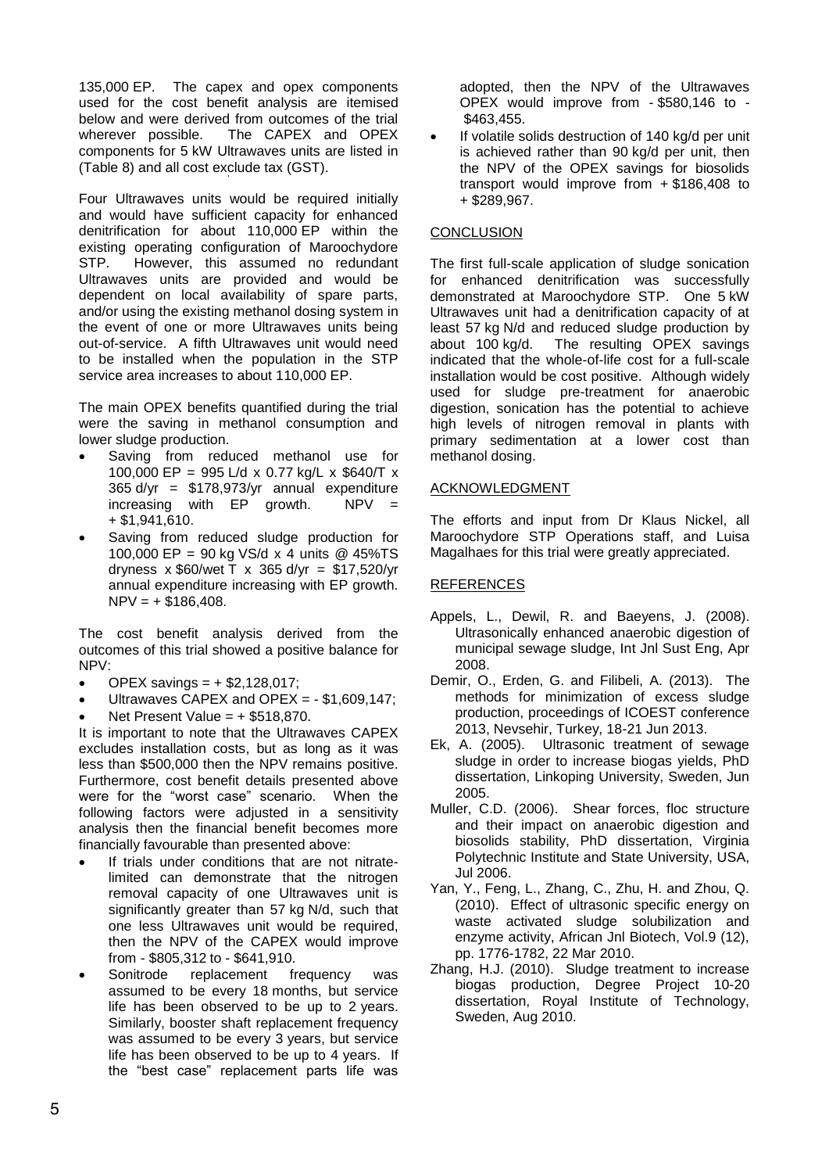135,000 EP. The capex and opex components used for the cost benefit analysis are itemised below and were derived from outcomes of the trial<br>wherever possible. The CAPEX and OPEX The CAPEX and OPEX components for 5 kW Ultrawaves units are listed in [\(Table 8\)](#page-7-2) and all cost exclude tax (GST).

Four Ultrawaves units would be required initially and would have sufficient capacity for enhanced denitrification for about 110,000 EP within the existing operating configuration of Maroochydore STP. However, this assumed no redundant Ultrawaves units are provided and would be dependent on local availability of spare parts, and/or using the existing methanol dosing system in the event of one or more Ultrawaves units being out-of-service. A fifth Ultrawaves unit would need to be installed when the population in the STP service area increases to about 110,000 EP.

The main OPEX benefits quantified during the trial were the saving in methanol consumption and lower sludge production.

- Saving from reduced methanol use for 100,000 EP = 995 L/d x 0.77 kg/L x \$640/T x  $365$  d/yr =  $$178,973/yr$  annual expenditure increasing with EP growth. NPV  $+$  \$1,941,610.
- Saving from reduced sludge production for 100,000 EP = 90 kg VS/d x 4 units @ 45%TS dryness x  $$60/$ wet T x 365 d/yr =  $$17,520/$ yr annual expenditure increasing with EP growth.  $NPV = + $186,408.$

The cost benefit analysis derived from the outcomes of this trial showed a positive balance for NPV:

- $\bullet$  OPEX savings =  $\pm$  \$2,128,017;
- Ultrawaves CAPEX and OPEX = \$1,609,147;
- Net Present Value =  $+$  \$518,870.

It is important to note that the Ultrawaves CAPEX excludes installation costs, but as long as it was less than \$500,000 then the NPV remains positive. Furthermore, cost benefit details presented above were for the "worst case" scenario. When the following factors were adjusted in a sensitivity analysis then the financial benefit becomes more financially favourable than presented above:

- If trials under conditions that are not nitratelimited can demonstrate that the nitrogen removal capacity of one Ultrawaves unit is significantly greater than 57 kg N/d, such that one less Ultrawaves unit would be required, then the NPV of the CAPEX would improve from - \$805,312 to - \$641,910.
- Sonitrode replacement frequency was assumed to be every 18 months, but service life has been observed to be up to 2 years. Similarly, booster shaft replacement frequency was assumed to be every 3 years, but service life has been observed to be up to 4 years. If the "best case" replacement parts life was

adopted, then the NPV of the Ultrawaves OPEX would improve from - \$580,146 to - \$463,455.

 If volatile solids destruction of 140 kg/d per unit is achieved rather than 90 kg/d per unit, then the NPV of the OPEX savings for biosolids transport would improve from + \$186,408 to + \$289,967.

### **CONCLUSION**

The first full-scale application of sludge sonication for enhanced denitrification was successfully demonstrated at Maroochydore STP. One 5 kW Ultrawaves unit had a denitrification capacity of at least 57 kg N/d and reduced sludge production by about 100 kg/d. The resulting OPEX savings The resulting OPEX savings indicated that the whole-of-life cost for a full-scale installation would be cost positive. Although widely used for sludge pre-treatment for anaerobic digestion, sonication has the potential to achieve high levels of nitrogen removal in plants with primary sedimentation at a lower cost than methanol dosing.

# ACKNOWLEDGMENT

The efforts and input from Dr Klaus Nickel, all Maroochydore STP Operations staff, and Luisa Magalhaes for this trial were greatly appreciated.

# REFERENCES

- Appels, L., Dewil, R. and Baeyens, J. (2008). Ultrasonically enhanced anaerobic digestion of municipal sewage sludge, Int Jnl Sust Eng, Apr 2008.
- Demir, O., Erden, G. and Filibeli, A. (2013). The methods for minimization of excess sludge production, proceedings of ICOEST conference 2013, Nevsehir, Turkey, 18-21 Jun 2013.
- Ek, A. (2005). Ultrasonic treatment of sewage sludge in order to increase biogas yields, PhD dissertation, Linkoping University, Sweden, Jun 2005.
- Muller, C.D. (2006). Shear forces, floc structure and their impact on anaerobic digestion and biosolids stability, PhD dissertation, Virginia Polytechnic Institute and State University, USA, Jul 2006.
- Yan, Y., Feng, L., Zhang, C., Zhu, H. and Zhou, Q. (2010). Effect of ultrasonic specific energy on waste activated sludge solubilization and enzyme activity, African Jnl Biotech, Vol.9 (12), pp. 1776-1782, 22 Mar 2010.
- Zhang, H.J. (2010). Sludge treatment to increase biogas production, Degree Project 10-20 dissertation, Royal Institute of Technology, Sweden, Aug 2010.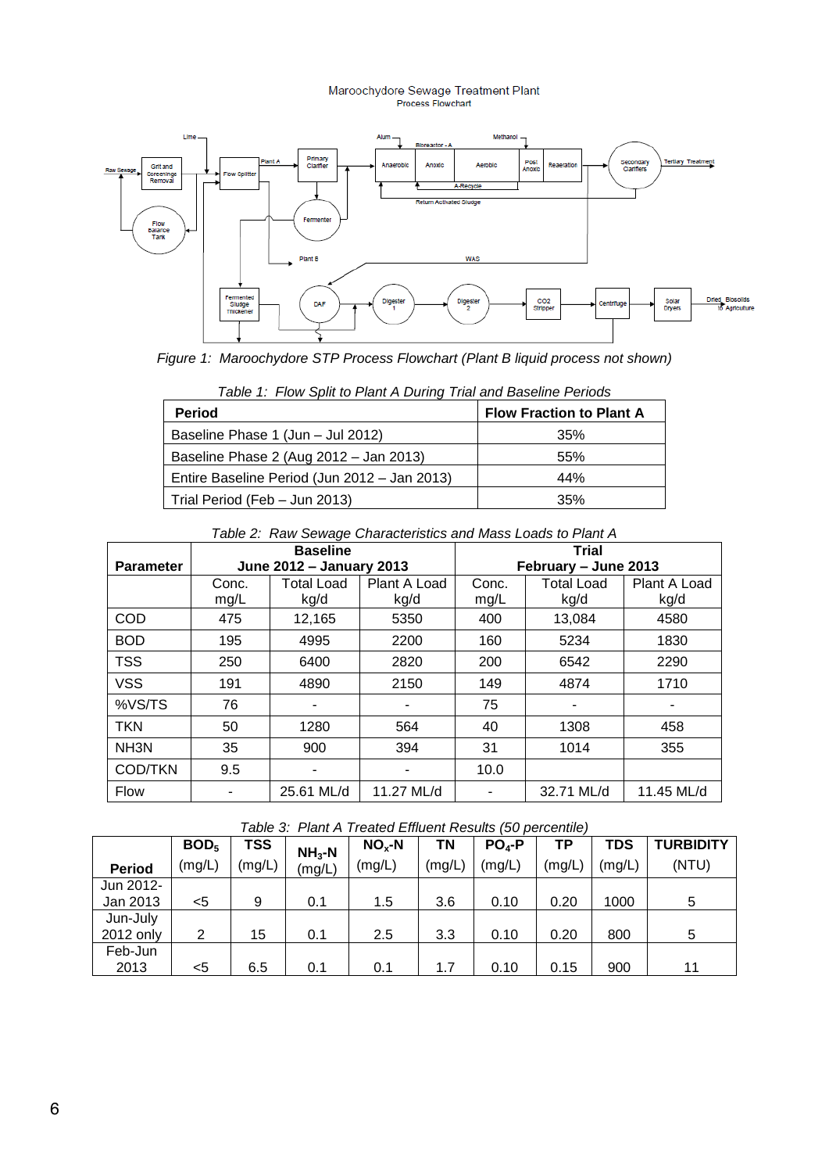# Maroochydore Sewage Treatment Plant<br>Process Flowchart



<span id="page-5-0"></span>*Figure 1: Maroochydore STP Process Flowchart (Plant B liquid process not shown)*

<span id="page-5-1"></span>

| <b>Period</b>                                | <b>Flow Fraction to Plant A</b> |
|----------------------------------------------|---------------------------------|
| Baseline Phase 1 (Jun - Jul 2012)            | 35%                             |
| Baseline Phase 2 (Aug 2012 - Jan 2013)       | 55%                             |
| Entire Baseline Period (Jun 2012 – Jan 2013) | 44%                             |
| Trial Period (Feb - Jun 2013)                | 35%                             |

*Table 1: Flow Split to Plant A During Trial and Baseline Periods*

|  | Table 2: Raw Sewage Characteristics and Mass Loads to Plant A |
|--|---------------------------------------------------------------|
|--|---------------------------------------------------------------|

<span id="page-5-2"></span>

|                   | <b>Baseline</b> |                          |              |       | <b>Trial</b>         |              |  |
|-------------------|-----------------|--------------------------|--------------|-------|----------------------|--------------|--|
| <b>Parameter</b>  |                 | June 2012 - January 2013 |              |       | February - June 2013 |              |  |
|                   | Conc.           | <b>Total Load</b>        | Plant A Load | Conc. | <b>Total Load</b>    | Plant A Load |  |
|                   | mg/L            | kg/d                     | kg/d         | mg/L  | kg/d                 | kg/d         |  |
| COD               | 475             | 12,165                   | 5350         | 400   | 13,084               | 4580         |  |
| <b>BOD</b>        | 195             | 4995                     | 2200         | 160   | 5234                 | 1830         |  |
| <b>TSS</b>        | 250             | 6400                     | 2820         | 200   | 6542                 | 2290         |  |
| <b>VSS</b>        | 191             | 4890                     | 2150         | 149   | 4874                 | 1710         |  |
| %VS/TS            | 76              | ۰                        |              | 75    |                      |              |  |
| <b>TKN</b>        | 50              | 1280                     | 564          | 40    | 1308                 | 458          |  |
| NH <sub>3</sub> N | 35              | 900                      | 394          | 31    | 1014                 | 355          |  |
| <b>COD/TKN</b>    | 9.5             |                          |              | 10.0  |                      |              |  |
| <b>Flow</b>       |                 | 25.61 ML/d               | 11.27 ML/d   |       | 32.71 ML/d           | 11.45 ML/d   |  |

|  | Table 3: Plant A Treated Effluent Results (50 percentile) |  |  |
|--|-----------------------------------------------------------|--|--|

<span id="page-5-3"></span>

|               | BOD <sub>5</sub> | <b>TSS</b> | $NH3-N$ | $NOx-N$ | ΤN     | $PO4-P$ | ΤP     | TDS    | <b>TURBIDITY</b> |
|---------------|------------------|------------|---------|---------|--------|---------|--------|--------|------------------|
| <b>Period</b> | (mg/L)           | (mg/L)     | (mg/L)  | (mg/L)  | (mg/L) | (mg/L)  | (mg/L) | (mg/L) | (NTU)            |
| Jun 2012-     |                  |            |         |         |        |         |        |        |                  |
| Jan 2013      | <5               | 9          | 0.1     | 1.5     | 3.6    | 0.10    | 0.20   | 1000   | 5                |
| Jun-July      |                  |            |         |         |        |         |        |        |                  |
| 2012 only     | 2                | 15         | 0.1     | 2.5     | 3.3    | 0.10    | 0.20   | 800    | 5                |
| Feb-Jun       |                  |            |         |         |        |         |        |        |                  |
| 2013          | <5               | 6.5        | 0.1     | 0.1     | 1.7    | 0.10    | 0.15   | 900    | 11               |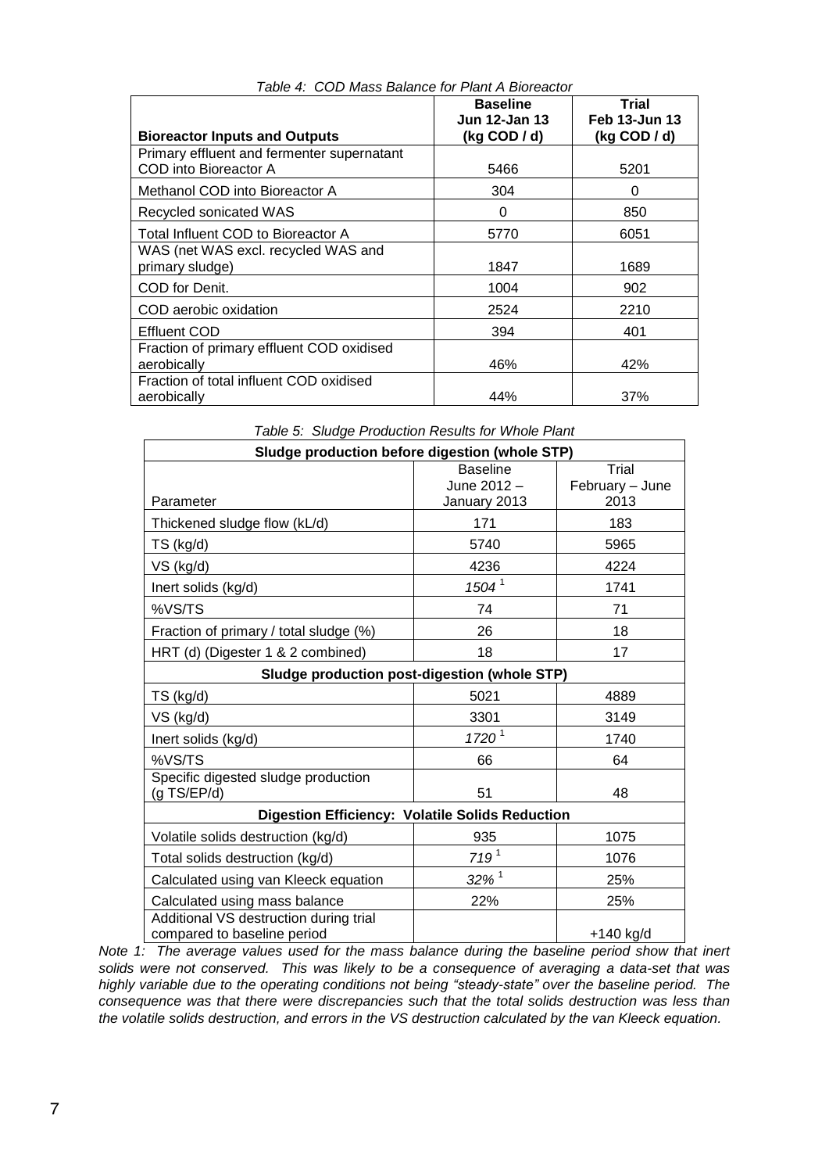<span id="page-6-0"></span>

|                                                                     | <b>Baseline</b>                  | Trial                                   |
|---------------------------------------------------------------------|----------------------------------|-----------------------------------------|
| <b>Bioreactor Inputs and Outputs</b>                                | Jun 12-Jan 13<br>$(kg$ COD $/d)$ | <b>Feb 13-Jun 13</b><br>$(kg$ COD $/d)$ |
| Primary effluent and fermenter supernatant<br>COD into Bioreactor A | 5466                             | 5201                                    |
| Methanol COD into Bioreactor A                                      | 304                              | 0                                       |
| Recycled sonicated WAS                                              | 0                                | 850                                     |
| Total Influent COD to Bioreactor A                                  | 5770                             | 6051                                    |
| WAS (net WAS excl. recycled WAS and<br>primary sludge)              | 1847                             | 1689                                    |
| COD for Denit.                                                      | 1004                             | 902                                     |
| COD aerobic oxidation                                               | 2524                             | 2210                                    |
| <b>Effluent COD</b>                                                 | 394                              | 401                                     |
| Fraction of primary effluent COD oxidised<br>aerobically            | 46%                              | 42%                                     |
| Fraction of total influent COD oxidised<br>aerobically              | 44%                              | 37%                                     |

| Table 4: COD Mass Balance for Plant A Bioreactor |  |  |  |  |  |
|--------------------------------------------------|--|--|--|--|--|
|--------------------------------------------------|--|--|--|--|--|

<span id="page-6-1"></span>

| Table 5: Sludge Production Results for Whole Plant                    |                                                |                                  |  |  |  |  |
|-----------------------------------------------------------------------|------------------------------------------------|----------------------------------|--|--|--|--|
| Sludge production before digestion (whole STP)                        |                                                |                                  |  |  |  |  |
| Parameter                                                             | <b>Baseline</b><br>June 2012 -<br>January 2013 | Trial<br>February - June<br>2013 |  |  |  |  |
| Thickened sludge flow (kL/d)                                          | 171                                            | 183                              |  |  |  |  |
| TS (kg/d)                                                             | 5740                                           | 5965                             |  |  |  |  |
| VS (kg/d)                                                             | 4236                                           | 4224                             |  |  |  |  |
| Inert solids (kg/d)                                                   | 1504 <sup>1</sup>                              | 1741                             |  |  |  |  |
| %VS/TS                                                                | 74                                             | 71                               |  |  |  |  |
| Fraction of primary / total sludge (%)                                | 26                                             | 18                               |  |  |  |  |
| HRT (d) (Digester 1 & 2 combined)                                     | 18                                             | 17                               |  |  |  |  |
| Sludge production post-digestion (whole STP)                          |                                                |                                  |  |  |  |  |
| TS (kg/d)                                                             | 5021                                           | 4889                             |  |  |  |  |
| VS (kg/d)                                                             | 3301                                           | 3149                             |  |  |  |  |
| Inert solids (kg/d)                                                   | $1720^{1}$                                     | 1740                             |  |  |  |  |
| %VS/TS                                                                | 66                                             | 64                               |  |  |  |  |
| Specific digested sludge production<br>(g TS/EP/d)                    | 51                                             | 48                               |  |  |  |  |
| <b>Digestion Efficiency: Volatile Solids Reduction</b>                |                                                |                                  |  |  |  |  |
| Volatile solids destruction (kg/d)                                    | 935                                            | 1075                             |  |  |  |  |
| Total solids destruction (kg/d)                                       | 719 <sup>1</sup>                               | 1076                             |  |  |  |  |
| Calculated using van Kleeck equation                                  | $32\%$ <sup>1</sup>                            | 25%                              |  |  |  |  |
| Calculated using mass balance                                         | 22%                                            | 25%                              |  |  |  |  |
| Additional VS destruction during trial<br>compared to baseline period |                                                | +140 ka/d                        |  |  |  |  |

*Table 5: Sludge Production Results for Whole Plant*

*Note 1: The average values used for the mass balance during the baseline period show that inert solids were not conserved. This was likely to be a consequence of averaging a data-set that was highly variable due to the operating conditions not being "steady-state" over the baseline period. The consequence was that there were discrepancies such that the total solids destruction was less than the volatile solids destruction, and errors in the VS destruction calculated by the van Kleeck equation.*